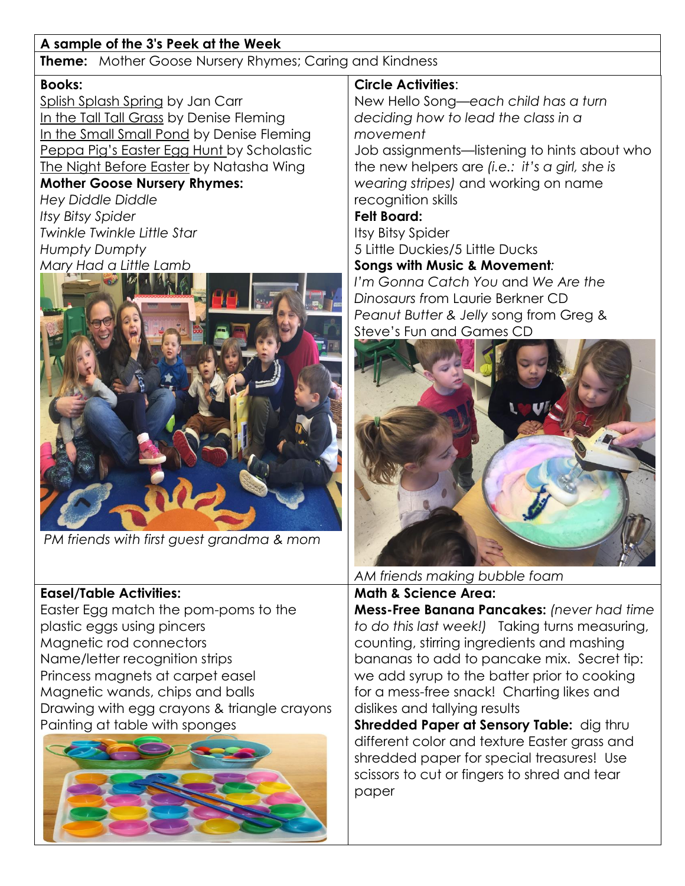# **A sample of the 3's Peek at the Week**

**Theme:** Mother Goose Nursery Rhymes; Caring and Kindness

### **Books:**

Splish Splash Spring by Jan Carr In the Tall Tall Grass by Denise Fleming In the Small Small Pond by Denise Fleming Peppa Pig's Easter Egg Hunt by Scholastic The Night Before Easter by Natasha Wing **Mother Goose Nursery Rhymes:** 

*Hey Diddle Diddle Itsy Bitsy Spider Twinkle Twinkle Little Star Humpty Dumpty Mary Had a Little Lamb*



*PM friends with first guest grandma & mom*

# **Easel/Table Activities:**

Easter Egg match the pom-poms to the plastic eggs using pincers Magnetic rod connectors Name/letter recognition strips Princess magnets at carpet easel Magnetic wands, chips and balls Drawing with egg crayons & triangle crayons Painting at table with sponges



## **Circle Activities**:

New Hello Song—*each child has a turn deciding how to lead the class in a movement* 

Job assignments—listening to hints about who the new helpers are *(i.e.: it's a girl, she is wearing stripes)* and working on name recognition skills

### **Felt Board:**

Itsy Bitsy Spider 5 Little Duckies/5 Little Ducks

**Songs with Music & Movement***:*

*I'm Gonna Catch You* and *We Are the Dinosaurs f*rom Laurie Berkner CD *Peanut Butter & Jelly* song from Greg & Steve's Fun and Games CD



*AM friends making bubble foam* **Math & Science Area:**

**Mess-Free Banana Pancakes:** *(never had time to do this last week!)* Taking turns measuring, counting, stirring ingredients and mashing bananas to add to pancake mix. Secret tip: we add syrup to the batter prior to cooking for a mess-free snack! Charting likes and dislikes and tallying results

**Shredded Paper at Sensory Table:** dig thru different color and texture Easter grass and shredded paper for special treasures! Use scissors to cut or fingers to shred and tear paper